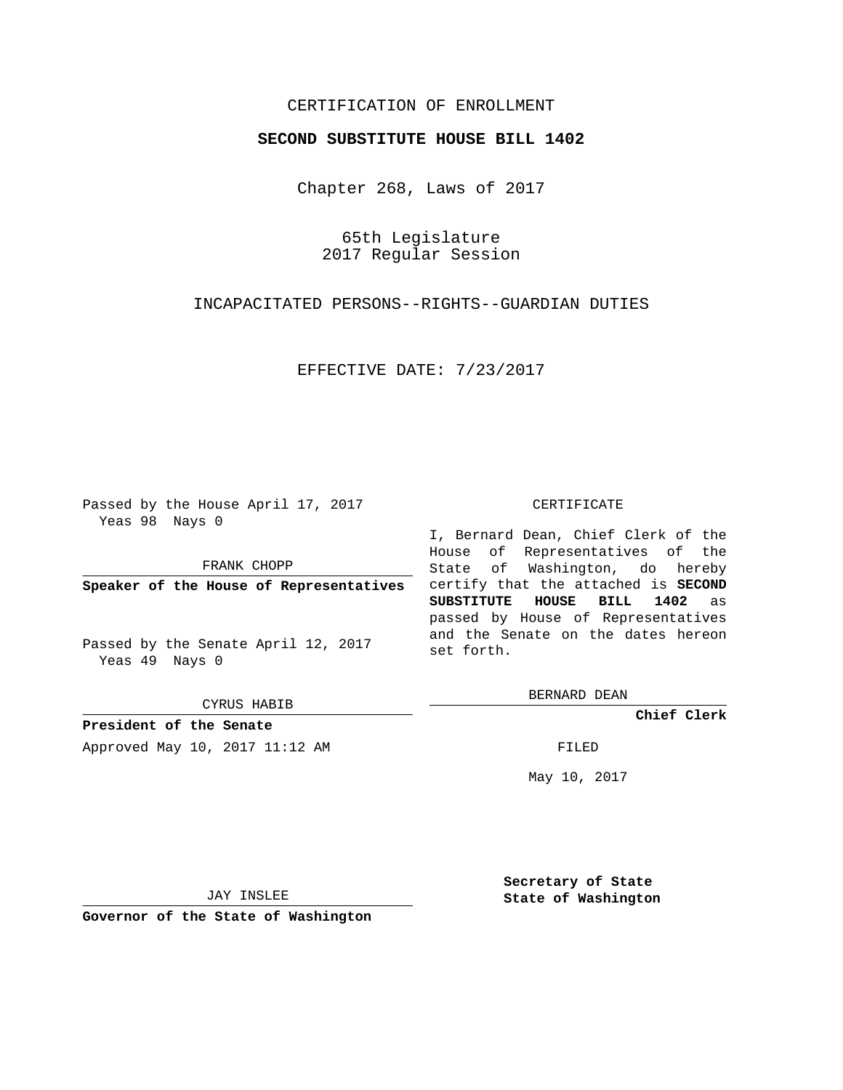# CERTIFICATION OF ENROLLMENT

## **SECOND SUBSTITUTE HOUSE BILL 1402**

Chapter 268, Laws of 2017

65th Legislature 2017 Regular Session

INCAPACITATED PERSONS--RIGHTS--GUARDIAN DUTIES

EFFECTIVE DATE: 7/23/2017

Passed by the House April 17, 2017 Yeas 98 Nays 0

FRANK CHOPP

**Speaker of the House of Representatives**

Passed by the Senate April 12, 2017 Yeas 49 Nays 0

CYRUS HABIB

**President of the Senate** Approved May 10, 2017 11:12 AM FILED

#### CERTIFICATE

I, Bernard Dean, Chief Clerk of the House of Representatives of the State of Washington, do hereby certify that the attached is **SECOND SUBSTITUTE HOUSE BILL 1402** as passed by House of Representatives and the Senate on the dates hereon set forth.

BERNARD DEAN

**Chief Clerk**

May 10, 2017

JAY INSLEE

**Governor of the State of Washington**

**Secretary of State State of Washington**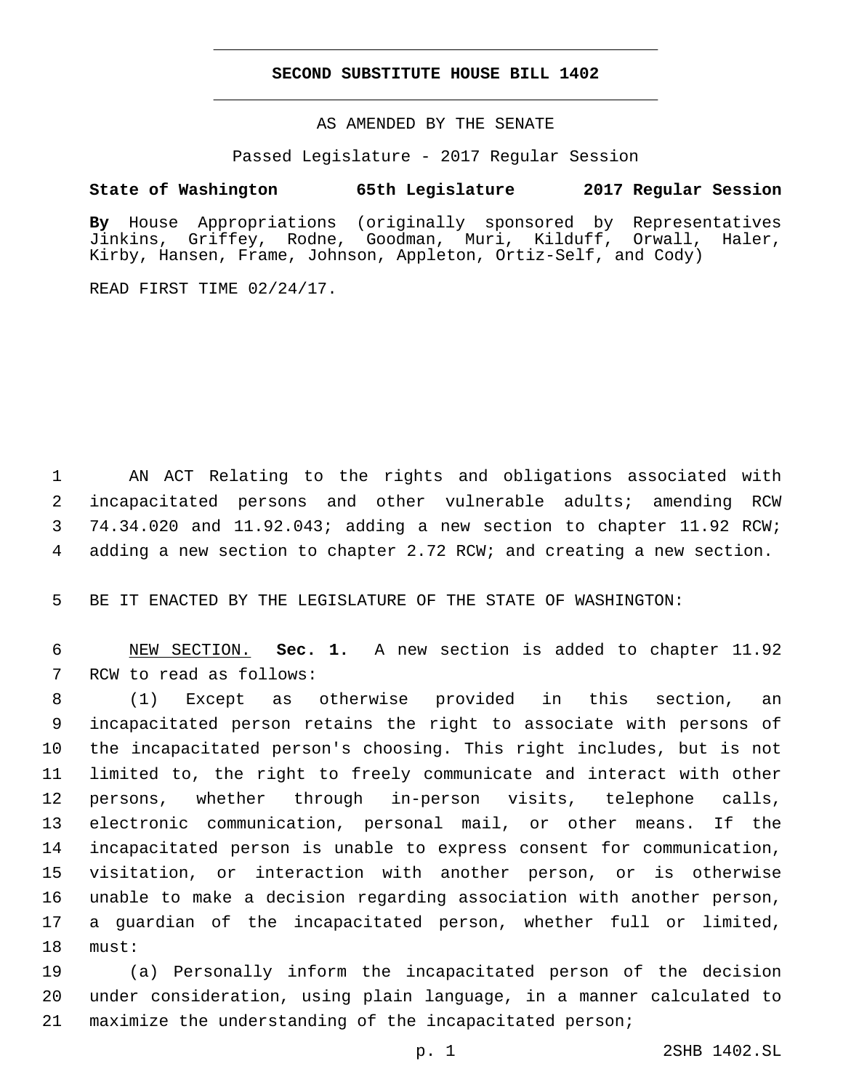## **SECOND SUBSTITUTE HOUSE BILL 1402**

AS AMENDED BY THE SENATE

Passed Legislature - 2017 Regular Session

# **State of Washington 65th Legislature 2017 Regular Session**

**By** House Appropriations (originally sponsored by Representatives Jinkins, Griffey, Rodne, Goodman, Muri, Kilduff, Orwall, Haler, Kirby, Hansen, Frame, Johnson, Appleton, Ortiz-Self, and Cody)

READ FIRST TIME 02/24/17.

 AN ACT Relating to the rights and obligations associated with incapacitated persons and other vulnerable adults; amending RCW 74.34.020 and 11.92.043; adding a new section to chapter 11.92 RCW; adding a new section to chapter 2.72 RCW; and creating a new section.

BE IT ENACTED BY THE LEGISLATURE OF THE STATE OF WASHINGTON:

 NEW SECTION. **Sec. 1.** A new section is added to chapter 11.92 7 RCW to read as follows:

 (1) Except as otherwise provided in this section, an incapacitated person retains the right to associate with persons of the incapacitated person's choosing. This right includes, but is not limited to, the right to freely communicate and interact with other persons, whether through in-person visits, telephone calls, electronic communication, personal mail, or other means. If the incapacitated person is unable to express consent for communication, visitation, or interaction with another person, or is otherwise unable to make a decision regarding association with another person, a guardian of the incapacitated person, whether full or limited, 18 must:

 (a) Personally inform the incapacitated person of the decision under consideration, using plain language, in a manner calculated to maximize the understanding of the incapacitated person;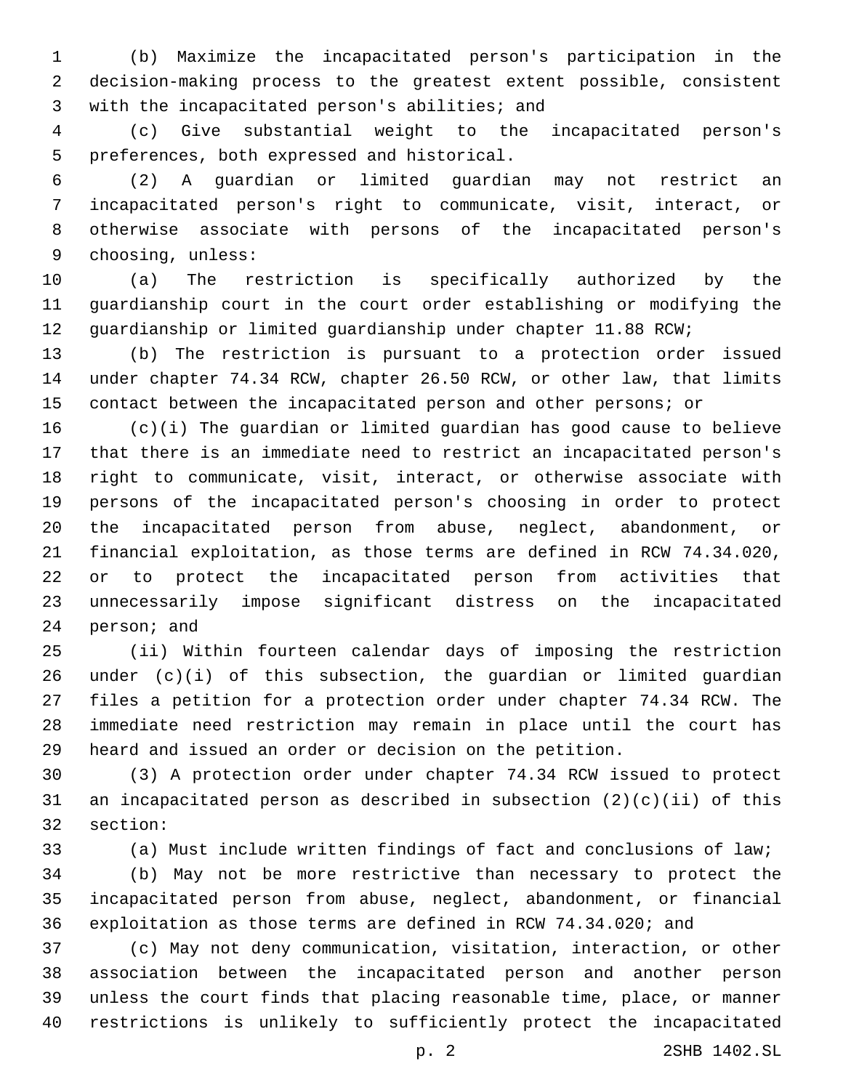(b) Maximize the incapacitated person's participation in the decision-making process to the greatest extent possible, consistent 3 with the incapacitated person's abilities; and

 (c) Give substantial weight to the incapacitated person's 5 preferences, both expressed and historical.

 (2) A guardian or limited guardian may not restrict an incapacitated person's right to communicate, visit, interact, or otherwise associate with persons of the incapacitated person's 9 choosing, unless:

 (a) The restriction is specifically authorized by the guardianship court in the court order establishing or modifying the guardianship or limited guardianship under chapter 11.88 RCW;

 (b) The restriction is pursuant to a protection order issued under chapter 74.34 RCW, chapter 26.50 RCW, or other law, that limits contact between the incapacitated person and other persons; or

 (c)(i) The guardian or limited guardian has good cause to believe that there is an immediate need to restrict an incapacitated person's right to communicate, visit, interact, or otherwise associate with persons of the incapacitated person's choosing in order to protect the incapacitated person from abuse, neglect, abandonment, or financial exploitation, as those terms are defined in RCW 74.34.020, or to protect the incapacitated person from activities that unnecessarily impose significant distress on the incapacitated 24 person; and

 (ii) Within fourteen calendar days of imposing the restriction under (c)(i) of this subsection, the guardian or limited guardian files a petition for a protection order under chapter 74.34 RCW. The immediate need restriction may remain in place until the court has heard and issued an order or decision on the petition.

 (3) A protection order under chapter 74.34 RCW issued to protect an incapacitated person as described in subsection (2)(c)(ii) of this 32 section:

 (a) Must include written findings of fact and conclusions of law; (b) May not be more restrictive than necessary to protect the incapacitated person from abuse, neglect, abandonment, or financial exploitation as those terms are defined in RCW 74.34.020; and

 (c) May not deny communication, visitation, interaction, or other association between the incapacitated person and another person unless the court finds that placing reasonable time, place, or manner restrictions is unlikely to sufficiently protect the incapacitated

p. 2 2SHB 1402.SL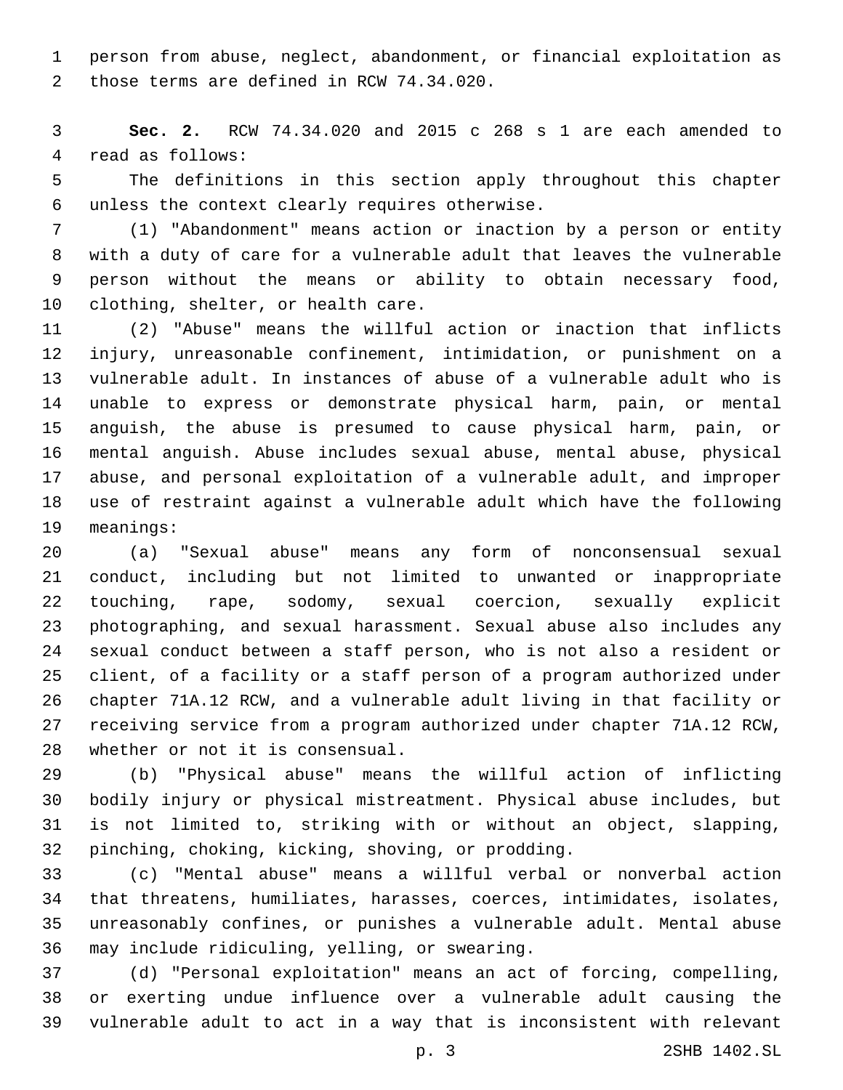person from abuse, neglect, abandonment, or financial exploitation as 2 those terms are defined in RCW 74.34.020.

 **Sec. 2.** RCW 74.34.020 and 2015 c 268 s 1 are each amended to 4 read as follows:

 The definitions in this section apply throughout this chapter unless the context clearly requires otherwise.6

 (1) "Abandonment" means action or inaction by a person or entity with a duty of care for a vulnerable adult that leaves the vulnerable person without the means or ability to obtain necessary food, 10 clothing, shelter, or health care.

 (2) "Abuse" means the willful action or inaction that inflicts injury, unreasonable confinement, intimidation, or punishment on a vulnerable adult. In instances of abuse of a vulnerable adult who is unable to express or demonstrate physical harm, pain, or mental anguish, the abuse is presumed to cause physical harm, pain, or mental anguish. Abuse includes sexual abuse, mental abuse, physical abuse, and personal exploitation of a vulnerable adult, and improper use of restraint against a vulnerable adult which have the following 19 meanings:

 (a) "Sexual abuse" means any form of nonconsensual sexual conduct, including but not limited to unwanted or inappropriate touching, rape, sodomy, sexual coercion, sexually explicit photographing, and sexual harassment. Sexual abuse also includes any sexual conduct between a staff person, who is not also a resident or client, of a facility or a staff person of a program authorized under chapter 71A.12 RCW, and a vulnerable adult living in that facility or receiving service from a program authorized under chapter 71A.12 RCW, 28 whether or not it is consensual.

 (b) "Physical abuse" means the willful action of inflicting bodily injury or physical mistreatment. Physical abuse includes, but is not limited to, striking with or without an object, slapping, pinching, choking, kicking, shoving, or prodding.32

 (c) "Mental abuse" means a willful verbal or nonverbal action that threatens, humiliates, harasses, coerces, intimidates, isolates, unreasonably confines, or punishes a vulnerable adult. Mental abuse may include ridiculing, yelling, or swearing.36

 (d) "Personal exploitation" means an act of forcing, compelling, or exerting undue influence over a vulnerable adult causing the vulnerable adult to act in a way that is inconsistent with relevant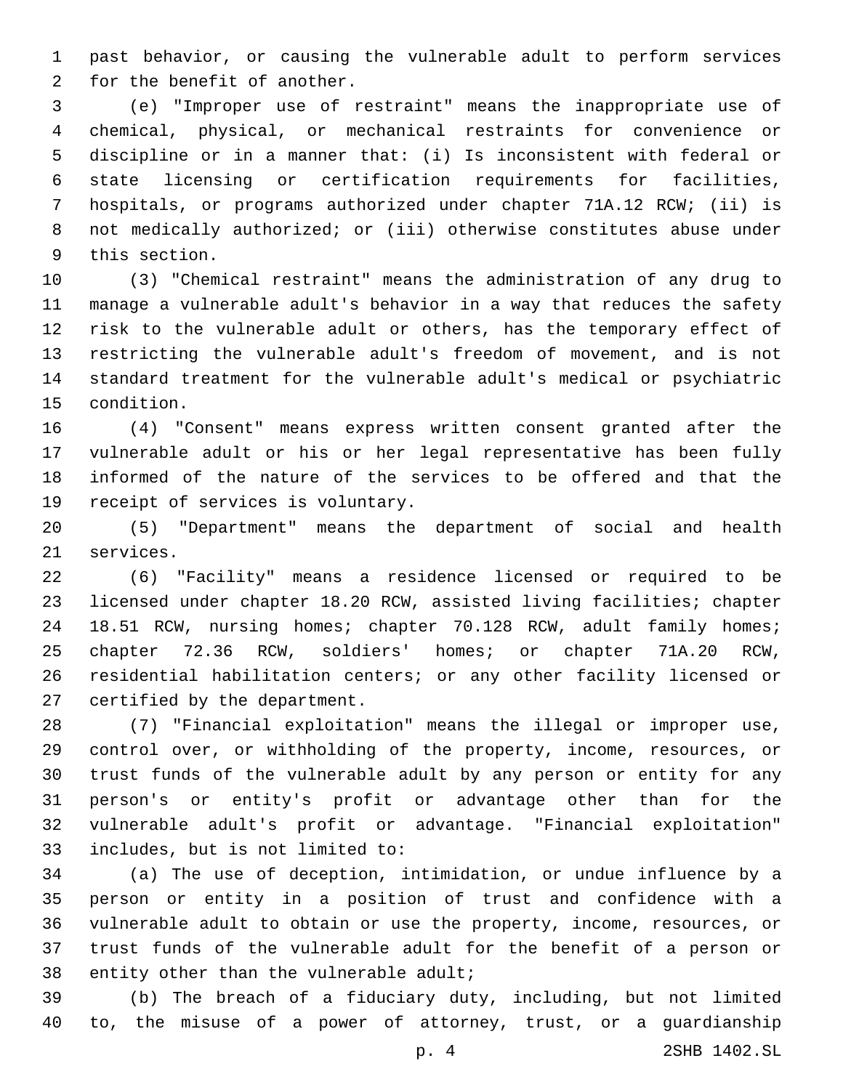past behavior, or causing the vulnerable adult to perform services 2 for the benefit of another.

 (e) "Improper use of restraint" means the inappropriate use of chemical, physical, or mechanical restraints for convenience or discipline or in a manner that: (i) Is inconsistent with federal or state licensing or certification requirements for facilities, hospitals, or programs authorized under chapter 71A.12 RCW; (ii) is not medically authorized; or (iii) otherwise constitutes abuse under 9 this section.

 (3) "Chemical restraint" means the administration of any drug to manage a vulnerable adult's behavior in a way that reduces the safety risk to the vulnerable adult or others, has the temporary effect of restricting the vulnerable adult's freedom of movement, and is not standard treatment for the vulnerable adult's medical or psychiatric 15 condition.

 (4) "Consent" means express written consent granted after the vulnerable adult or his or her legal representative has been fully informed of the nature of the services to be offered and that the 19 receipt of services is voluntary.

 (5) "Department" means the department of social and health 21 services.

 (6) "Facility" means a residence licensed or required to be licensed under chapter 18.20 RCW, assisted living facilities; chapter 18.51 RCW, nursing homes; chapter 70.128 RCW, adult family homes; chapter 72.36 RCW, soldiers' homes; or chapter 71A.20 RCW, residential habilitation centers; or any other facility licensed or 27 certified by the department.

 (7) "Financial exploitation" means the illegal or improper use, control over, or withholding of the property, income, resources, or trust funds of the vulnerable adult by any person or entity for any person's or entity's profit or advantage other than for the vulnerable adult's profit or advantage. "Financial exploitation" 33 includes, but is not limited to:

 (a) The use of deception, intimidation, or undue influence by a person or entity in a position of trust and confidence with a vulnerable adult to obtain or use the property, income, resources, or trust funds of the vulnerable adult for the benefit of a person or 38 entity other than the vulnerable adult;

 (b) The breach of a fiduciary duty, including, but not limited to, the misuse of a power of attorney, trust, or a guardianship

p. 4 2SHB 1402.SL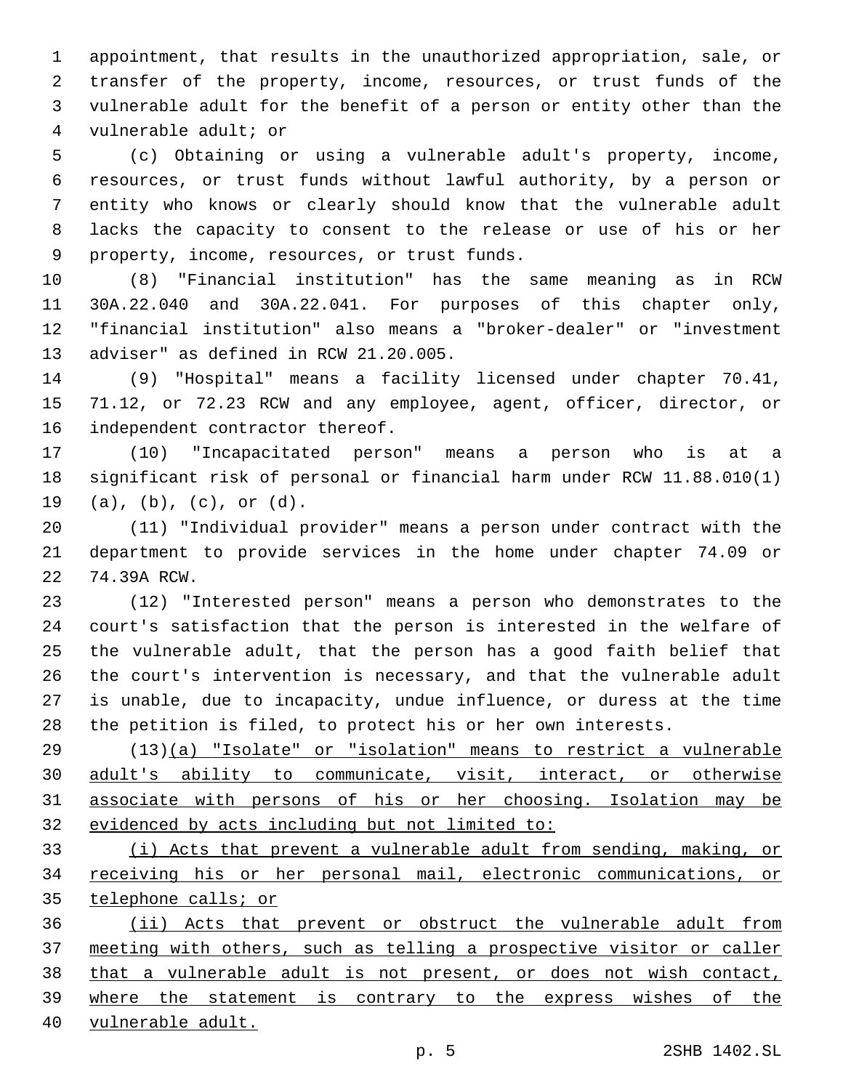appointment, that results in the unauthorized appropriation, sale, or transfer of the property, income, resources, or trust funds of the vulnerable adult for the benefit of a person or entity other than the 4 vulnerable adult; or

 (c) Obtaining or using a vulnerable adult's property, income, resources, or trust funds without lawful authority, by a person or entity who knows or clearly should know that the vulnerable adult lacks the capacity to consent to the release or use of his or her 9 property, income, resources, or trust funds.

 (8) "Financial institution" has the same meaning as in RCW 30A.22.040 and 30A.22.041. For purposes of this chapter only, "financial institution" also means a "broker-dealer" or "investment 13 adviser" as defined in RCW 21.20.005.

 (9) "Hospital" means a facility licensed under chapter 70.41, 71.12, or 72.23 RCW and any employee, agent, officer, director, or 16 independent contractor thereof.

 (10) "Incapacitated person" means a person who is at a significant risk of personal or financial harm under RCW 11.88.010(1) 19 (a), (b), (c), or (d).

 (11) "Individual provider" means a person under contract with the department to provide services in the home under chapter 74.09 or 22 74.39A RCW.

 (12) "Interested person" means a person who demonstrates to the court's satisfaction that the person is interested in the welfare of the vulnerable adult, that the person has a good faith belief that the court's intervention is necessary, and that the vulnerable adult is unable, due to incapacity, undue influence, or duress at the time the petition is filed, to protect his or her own interests.

 (13)(a) "Isolate" or "isolation" means to restrict a vulnerable 30 adult's ability to communicate, visit, interact, or otherwise associate with persons of his or her choosing. Isolation may be evidenced by acts including but not limited to:

 (i) Acts that prevent a vulnerable adult from sending, making, or receiving his or her personal mail, electronic communications, or telephone calls; or

 (ii) Acts that prevent or obstruct the vulnerable adult from meeting with others, such as telling a prospective visitor or caller that a vulnerable adult is not present, or does not wish contact, where the statement is contrary to the express wishes of the vulnerable adult.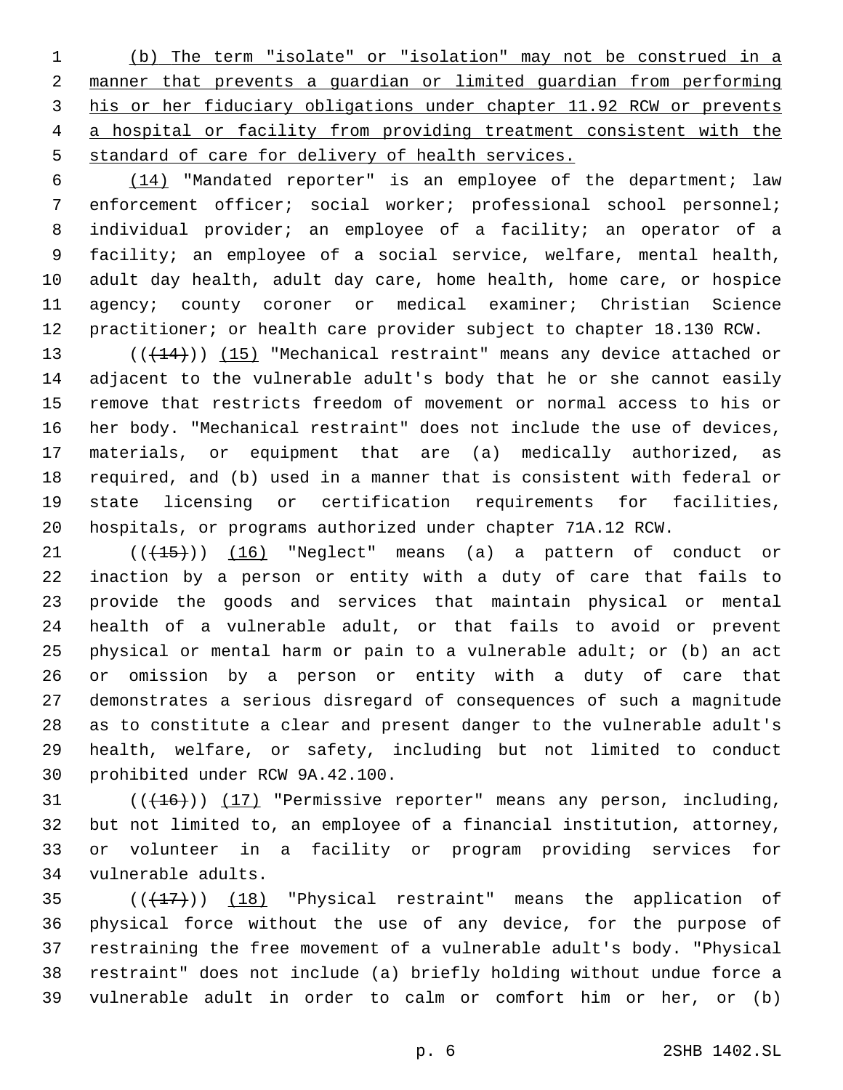(b) The term "isolate" or "isolation" may not be construed in a manner that prevents a guardian or limited guardian from performing his or her fiduciary obligations under chapter 11.92 RCW or prevents a hospital or facility from providing treatment consistent with the standard of care for delivery of health services.

 (14) "Mandated reporter" is an employee of the department; law enforcement officer; social worker; professional school personnel; individual provider; an employee of a facility; an operator of a facility; an employee of a social service, welfare, mental health, adult day health, adult day care, home health, home care, or hospice agency; county coroner or medical examiner; Christian Science practitioner; or health care provider subject to chapter 18.130 RCW.

13 (( $(144)$ )) (15) "Mechanical restraint" means any device attached or adjacent to the vulnerable adult's body that he or she cannot easily remove that restricts freedom of movement or normal access to his or her body. "Mechanical restraint" does not include the use of devices, materials, or equipment that are (a) medically authorized, as required, and (b) used in a manner that is consistent with federal or state licensing or certification requirements for facilities, hospitals, or programs authorized under chapter 71A.12 RCW.

21 (( $(15)$ )) (16) "Neglect" means (a) a pattern of conduct or inaction by a person or entity with a duty of care that fails to provide the goods and services that maintain physical or mental health of a vulnerable adult, or that fails to avoid or prevent physical or mental harm or pain to a vulnerable adult; or (b) an act or omission by a person or entity with a duty of care that demonstrates a serious disregard of consequences of such a magnitude as to constitute a clear and present danger to the vulnerable adult's health, welfare, or safety, including but not limited to conduct 30 prohibited under RCW 9A.42.100.

 $((+16))$   $(17)$  "Permissive reporter" means any person, including, but not limited to, an employee of a financial institution, attorney, or volunteer in a facility or program providing services for 34 vulnerable adults.

 $((+17))$   $(18)$  "Physical restraint" means the application of physical force without the use of any device, for the purpose of restraining the free movement of a vulnerable adult's body. "Physical restraint" does not include (a) briefly holding without undue force a vulnerable adult in order to calm or comfort him or her, or (b)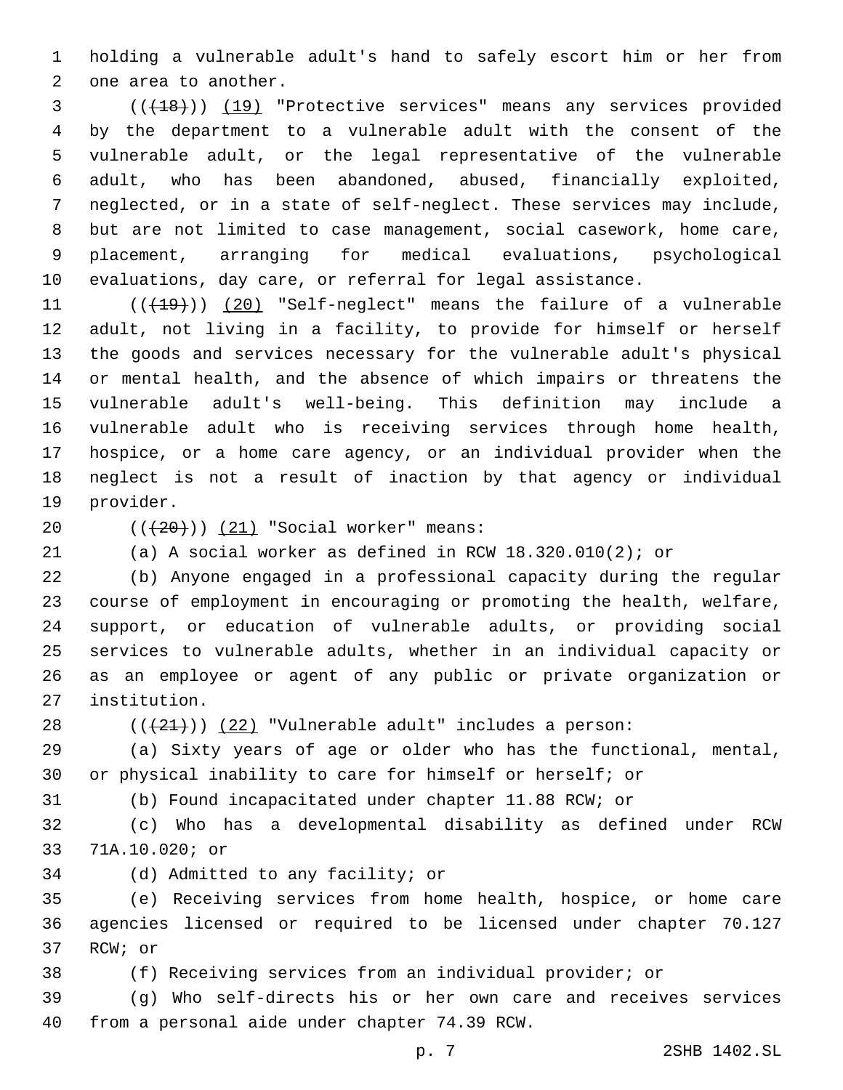holding a vulnerable adult's hand to safely escort him or her from 2 one area to another.

 (((18))) (19) "Protective services" means any services provided by the department to a vulnerable adult with the consent of the vulnerable adult, or the legal representative of the vulnerable adult, who has been abandoned, abused, financially exploited, neglected, or in a state of self-neglect. These services may include, but are not limited to case management, social casework, home care, placement, arranging for medical evaluations, psychological evaluations, day care, or referral for legal assistance.

11 (( $(19)$ )) (20) "Self-neglect" means the failure of a vulnerable adult, not living in a facility, to provide for himself or herself the goods and services necessary for the vulnerable adult's physical or mental health, and the absence of which impairs or threatens the vulnerable adult's well-being. This definition may include a vulnerable adult who is receiving services through home health, hospice, or a home care agency, or an individual provider when the neglect is not a result of inaction by that agency or individual 19 provider.

20  $((+20))$   $(21)$  "Social worker" means:

(a) A social worker as defined in RCW 18.320.010(2); or

 (b) Anyone engaged in a professional capacity during the regular course of employment in encouraging or promoting the health, welfare, support, or education of vulnerable adults, or providing social services to vulnerable adults, whether in an individual capacity or as an employee or agent of any public or private organization or institution.27

28  $((+21))$   $(22)$  "Vulnerable adult" includes a person:

 (a) Sixty years of age or older who has the functional, mental, or physical inability to care for himself or herself; or

(b) Found incapacitated under chapter 11.88 RCW; or

 (c) Who has a developmental disability as defined under RCW 71A.10.020; or33

34 (d) Admitted to any facility; or

 (e) Receiving services from home health, hospice, or home care agencies licensed or required to be licensed under chapter 70.127 37 RCW; or

(f) Receiving services from an individual provider; or

 (g) Who self-directs his or her own care and receives services 40 from a personal aide under chapter 74.39 RCW.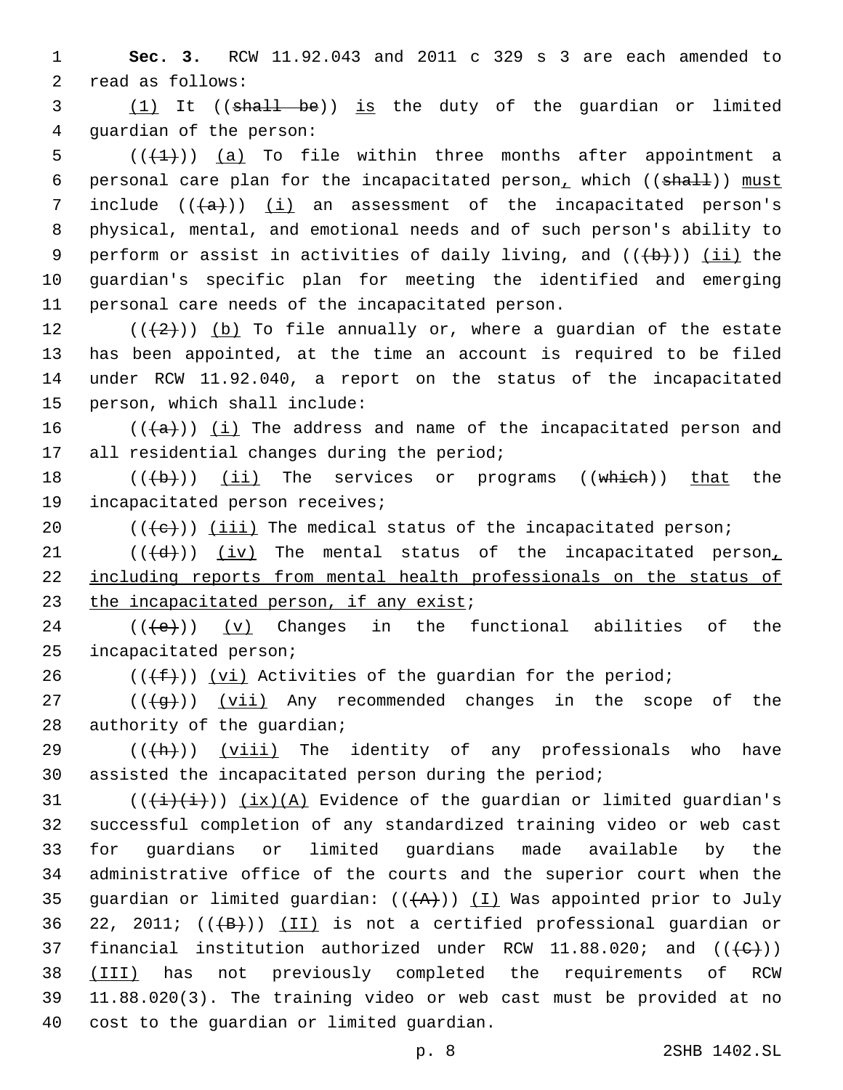1 **Sec. 3.** RCW 11.92.043 and 2011 c 329 s 3 are each amended to 2 read as follows:

3 (1) It ((shall be)) is the duty of the guardian or limited 4 quardian of the person:

5  $((+1))$   $(a)$  To file within three months after appointment a 6 personal care plan for the incapacitated person, which  $((shall))$  must 7 include  $((+a))$  (i) an assessment of the incapacitated person's 8 physical, mental, and emotional needs and of such person's ability to 9 perform or assist in activities of daily living, and  $((+b))$  (ii) the 10 guardian's specific plan for meeting the identified and emerging 11 personal care needs of the incapacitated person.

 $((+2+))$  (b) To file annually or, where a guardian of the estate has been appointed, at the time an account is required to be filed under RCW 11.92.040, a report on the status of the incapacitated 15 person, which shall include:

16  $((+a))$  (i) The address and name of the incapacitated person and 17 all residential changes during the period;

18  $((\{b\})$  (ii) The services or programs  $((\text{which}))$  that the 19 incapacitated person receives;

20  $((+e))$  (iii) The medical status of the incapacitated person;

21  $((+d))$   $(iv)$  The mental status of the incapacitated person<sub>1</sub> 22 including reports from mental health professionals on the status of 23 the incapacitated person, if any exist;

24 ( $(\langle e \rangle)$ ) (v) Changes in the functional abilities of the 25 incapacitated person;

26  $((\text{+f}))(\text{v}i)$  Activities of the guardian for the period;

27  $((+g+))$   $(vii)$  Any recommended changes in the scope of the 28 authority of the guardian;

29  $((+h))$  (viii) The identity of any professionals who have 30 assisted the incapacitated person during the period;

31  $((\overrightarrow{i})(i))$   $(ix)(A)$  Evidence of the guardian or limited guardian's 32 successful completion of any standardized training video or web cast 33 for guardians or limited guardians made available by the 34 administrative office of the courts and the superior court when the 35 guardian or limited guardian:  $((+A))$  (I) Was appointed prior to July 36 22, 2011;  $((+B))$   $(II)$  is not a certified professional guardian or 37 financial institution authorized under RCW 11.88.020; and  $((\{C\})$ ) 38 (III) has not previously completed the requirements of RCW 39 11.88.020(3). The training video or web cast must be provided at no 40 cost to the quardian or limited quardian.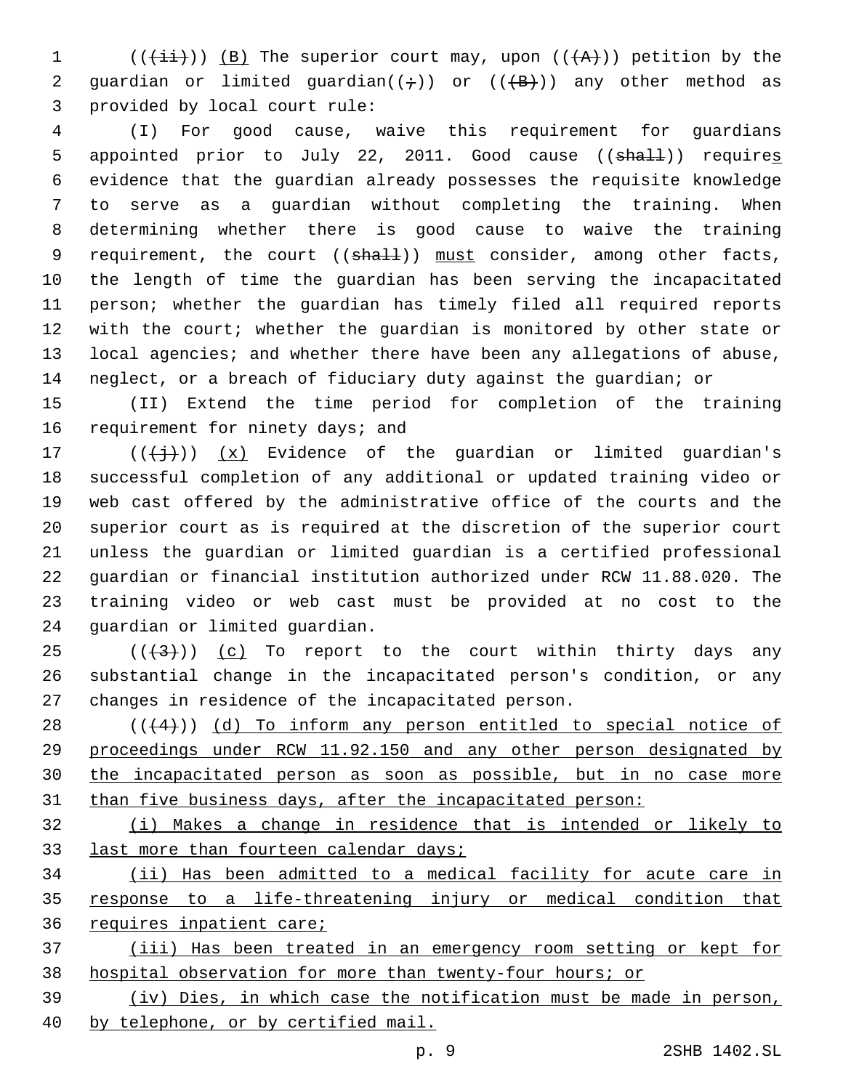1 (( $(\frac{1}{i}i)$ ) (B) The superior court may, upon (( $\overline{(A)}}$ )) petition by the 2 guardian or limited guardian( $(\div)$ ) or ( $(\overline{+B})$ ) any other method as 3 provided by local court rule:

 (I) For good cause, waive this requirement for guardians 5 appointed prior to July 22, 2011. Good cause ((shall)) requires evidence that the guardian already possesses the requisite knowledge to serve as a guardian without completing the training. When determining whether there is good cause to waive the training 9 requirement, the court  $((shall))$  must consider, among other facts, the length of time the guardian has been serving the incapacitated person; whether the guardian has timely filed all required reports with the court; whether the guardian is monitored by other state or local agencies; and whether there have been any allegations of abuse, neglect, or a breach of fiduciary duty against the guardian; or

 (II) Extend the time period for completion of the training 16 requirement for ninety days; and

 $((+\frac{1}{2}))(x)$  Evidence of the guardian or limited guardian's successful completion of any additional or updated training video or web cast offered by the administrative office of the courts and the superior court as is required at the discretion of the superior court unless the guardian or limited guardian is a certified professional guardian or financial institution authorized under RCW 11.88.020. The training video or web cast must be provided at no cost to the 24 guardian or limited guardian.

25  $((+3+))$  (c) To report to the court within thirty days any substantial change in the incapacitated person's condition, or any 27 changes in residence of the incapacitated person.

 ( $(44)$ )) (d) To inform any person entitled to special notice of proceedings under RCW 11.92.150 and any other person designated by the incapacitated person as soon as possible, but in no case more than five business days, after the incapacitated person:

 (i) Makes a change in residence that is intended or likely to 33 last more than fourteen calendar days;

 (ii) Has been admitted to a medical facility for acute care in response to a life-threatening injury or medical condition that requires inpatient care;

 (iii) Has been treated in an emergency room setting or kept for hospital observation for more than twenty-four hours; or

 (iv) Dies, in which case the notification must be made in person, by telephone, or by certified mail.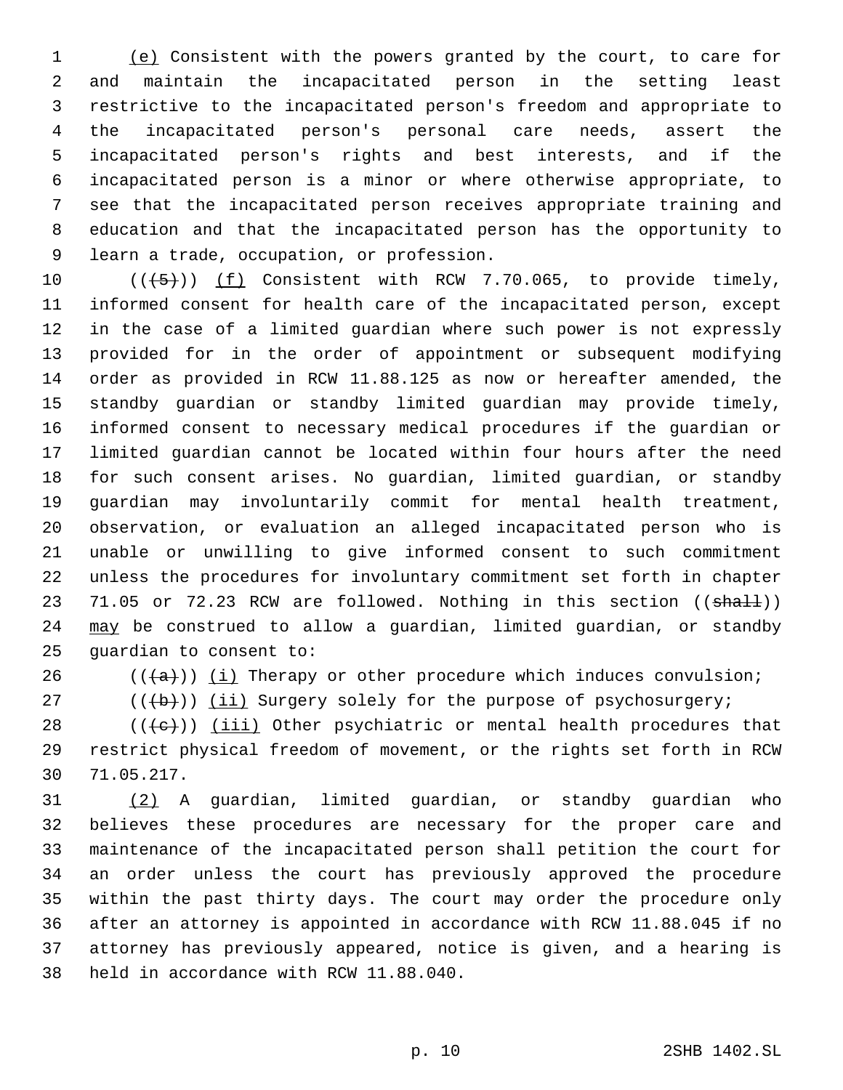(e) Consistent with the powers granted by the court, to care for and maintain the incapacitated person in the setting least restrictive to the incapacitated person's freedom and appropriate to the incapacitated person's personal care needs, assert the incapacitated person's rights and best interests, and if the incapacitated person is a minor or where otherwise appropriate, to see that the incapacitated person receives appropriate training and education and that the incapacitated person has the opportunity to 9 learn a trade, occupation, or profession.

 $((+5+))$   $(f)$  Consistent with RCW 7.70.065, to provide timely, informed consent for health care of the incapacitated person, except in the case of a limited guardian where such power is not expressly provided for in the order of appointment or subsequent modifying order as provided in RCW 11.88.125 as now or hereafter amended, the standby guardian or standby limited guardian may provide timely, informed consent to necessary medical procedures if the guardian or limited guardian cannot be located within four hours after the need for such consent arises. No guardian, limited guardian, or standby guardian may involuntarily commit for mental health treatment, observation, or evaluation an alleged incapacitated person who is unable or unwilling to give informed consent to such commitment unless the procedures for involuntary commitment set forth in chapter 23 71.05 or 72.23 RCW are followed. Nothing in this section ((shall)) 24 may be construed to allow a guardian, limited guardian, or standby 25 quardian to consent to:

26  $((+a))$   $(i)$  Therapy or other procedure which induces convulsion;

 $((\nabla + b)\nabla)$  (ii) Surgery solely for the purpose of psychosurgery;

28  $((+e))$  ( $iii)$  Other psychiatric or mental health procedures that restrict physical freedom of movement, or the rights set forth in RCW 71.05.217.30

 (2) A guardian, limited guardian, or standby guardian who believes these procedures are necessary for the proper care and maintenance of the incapacitated person shall petition the court for an order unless the court has previously approved the procedure within the past thirty days. The court may order the procedure only after an attorney is appointed in accordance with RCW 11.88.045 if no attorney has previously appeared, notice is given, and a hearing is 38 held in accordance with RCW 11.88.040.